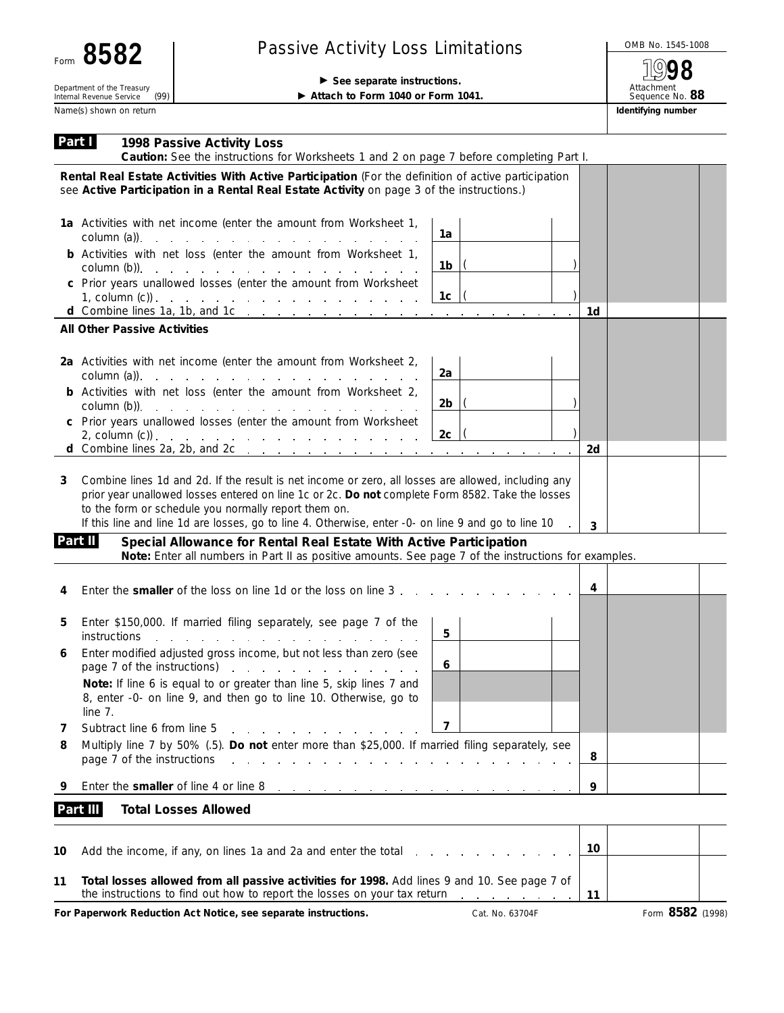(99)

## Passive Activity Loss Limitations And Allowski Activity Loss Limitations

Department of the Treasury<br>
Internal Revenue Service (99)<br> **Example 2** Attach to Form 1040 or Form 1

▶ Attach to Form 1040 or Form 1041.

**1998**

Attachment Sequence No. **88** Name(s) shown on return **Identifying number Identifying number Identifying number** 

| Part I | 1998 Passive Activity Loss<br>Caution: See the instructions for Worksheets 1 and 2 on page 7 before completing Part I.                                                                                                                                                                                                                                                                                                                                                                                                                                       |                 |
|--------|--------------------------------------------------------------------------------------------------------------------------------------------------------------------------------------------------------------------------------------------------------------------------------------------------------------------------------------------------------------------------------------------------------------------------------------------------------------------------------------------------------------------------------------------------------------|-----------------|
|        | Rental Real Estate Activities With Active Participation (For the definition of active participation<br>see Active Participation in a Rental Real Estate Activity on page 3 of the instructions.)                                                                                                                                                                                                                                                                                                                                                             |                 |
|        | 1a Activities with net income (enter the amount from Worksheet 1,<br>$\text{column (a)}$ $\qquad \qquad$ $\qquad \qquad$ $\qquad$ $\qquad$ $\qquad$ $\qquad$ $\qquad$ $\qquad$ $\qquad$ $\qquad$ $\qquad$ $\qquad$ $\qquad$ $\qquad$ $\qquad$ $\qquad$ $\qquad$ $\qquad$ $\qquad$ $\qquad$ $\qquad$ $\qquad$ $\qquad$ $\qquad$ $\qquad$ $\qquad$ $\qquad$ $\qquad$ $\qquad$ $\qquad$ $\qquad$ $\qquad$ $\qquad$ $\qquad$                                                                                                                                     | 1a              |
|        | <b>b</b> Activities with net loss (enter the amount from Worksheet 1,<br>column (b)). $\therefore$ $\therefore$ $\therefore$ $\therefore$ $\therefore$ $\therefore$ $\therefore$ $\therefore$ $\therefore$ $\therefore$ $\therefore$ $\therefore$ $\therefore$ $\therefore$ $\therefore$ $\therefore$ $\therefore$ $\therefore$ $\therefore$ $\therefore$ $\therefore$ $\therefore$ $\therefore$ $\therefore$ $\therefore$ $\therefore$ $\therefore$ $\therefore$ $\therefore$ $\therefore$ $\therefore$ $\therefore$ $\therefore$ $\therefore$ $\therefore$ | 1b              |
|        | c Prior years unallowed losses (enter the amount from Worksheet<br>1, column $(c)$ ).                                                                                                                                                                                                                                                                                                                                                                                                                                                                        | 1c              |
|        | All Other Passive Activities                                                                                                                                                                                                                                                                                                                                                                                                                                                                                                                                 | 1d              |
|        |                                                                                                                                                                                                                                                                                                                                                                                                                                                                                                                                                              |                 |
|        | 2a Activities with net income (enter the amount from Worksheet 2,<br>$\text{column (a)}$ $\qquad \qquad \text{}$ $\qquad \qquad \text{}$                                                                                                                                                                                                                                                                                                                                                                                                                     | 2a              |
|        | <b>b</b> Activities with net loss (enter the amount from Worksheet 2,<br>$\text{column (b)}$ .                                                                                                                                                                                                                                                                                                                                                                                                                                                               | 2b              |
|        | c Prior years unallowed losses (enter the amount from Worksheet                                                                                                                                                                                                                                                                                                                                                                                                                                                                                              | 2c              |
|        | d Combine lines 2a, 2b, and 2c $\ldots$ $\ldots$ $\ldots$ $\ldots$ $\ldots$ $\ldots$ $\ldots$                                                                                                                                                                                                                                                                                                                                                                                                                                                                | 2d              |
|        | Combine lines 1d and 2d. If the result is net income or zero, all losses are allowed, including any<br>prior year unallowed losses entered on line 1c or 2c. Do not complete Form 8582. Take the losses<br>to the form or schedule you normally report them on.<br>If this line and line 1d are losses, go to line 4. Otherwise, enter -0- on line 9 and go to line 10<br>Part II<br>Special Allowance for Rental Real Estate With Active Participation                                                                                                      | $\overline{3}$  |
|        | Note: Enter all numbers in Part II as positive amounts. See page 7 of the instructions for examples.                                                                                                                                                                                                                                                                                                                                                                                                                                                         |                 |
| 4      | Enter the <b>smaller</b> of the loss on line 1d or the loss on line 3                                                                                                                                                                                                                                                                                                                                                                                                                                                                                        | 4               |
| 5      | Enter \$150,000. If married filing separately, see page 7 of the<br>instructions<br>and the second contract of the second contract of the second contract of the second contract of the second contract of the second contract of the second contract of the second contract of the second contract of the second                                                                                                                                                                                                                                            | $5\phantom{.0}$ |
| 6      | Enter modified adjusted gross income, but not less than zero (see<br>page 7 of the instructions)<br>the contract of the contract of the contract                                                                                                                                                                                                                                                                                                                                                                                                             | 6               |
|        | Note: If line 6 is equal to or greater than line 5, skip lines 7 and<br>8, enter -0- on line 9, and then go to line 10. Otherwise, go to<br>line 7.                                                                                                                                                                                                                                                                                                                                                                                                          |                 |
| 7      | Subtract line 6 from line 5                                                                                                                                                                                                                                                                                                                                                                                                                                                                                                                                  | 7               |
| 8      | Multiply line 7 by 50% (.5). Do not enter more than \$25,000. If married filing separately, see<br>page 7 of the instructions<br>the contract of the contract of the contract of                                                                                                                                                                                                                                                                                                                                                                             | 8               |
| 9      | Enter the smaller of line 4 or line 8<br>and a series of the control of the control of the control of the control of the control of the control of the control of the control of the control of the control of the control of the control of the control of the control                                                                                                                                                                                                                                                                                      | 9               |
|        | Part III<br><b>Total Losses Allowed</b>                                                                                                                                                                                                                                                                                                                                                                                                                                                                                                                      |                 |
| 10     | Add the income, if any, on lines 1a and 2a and enter the total                                                                                                                                                                                                                                                                                                                                                                                                                                                                                               | 10              |
| 11     | Total losses allowed from all passive activities for 1998. Add lines 9 and 10. See page 7 of<br>the instructions to find out how to report the losses on your tax return $\ldots$ , $\ldots$                                                                                                                                                                                                                                                                                                                                                                 | 11              |

For Paperwork Reduction Act Notice, see separate instructions. Cat. No. 63704F Form 8582 (1998)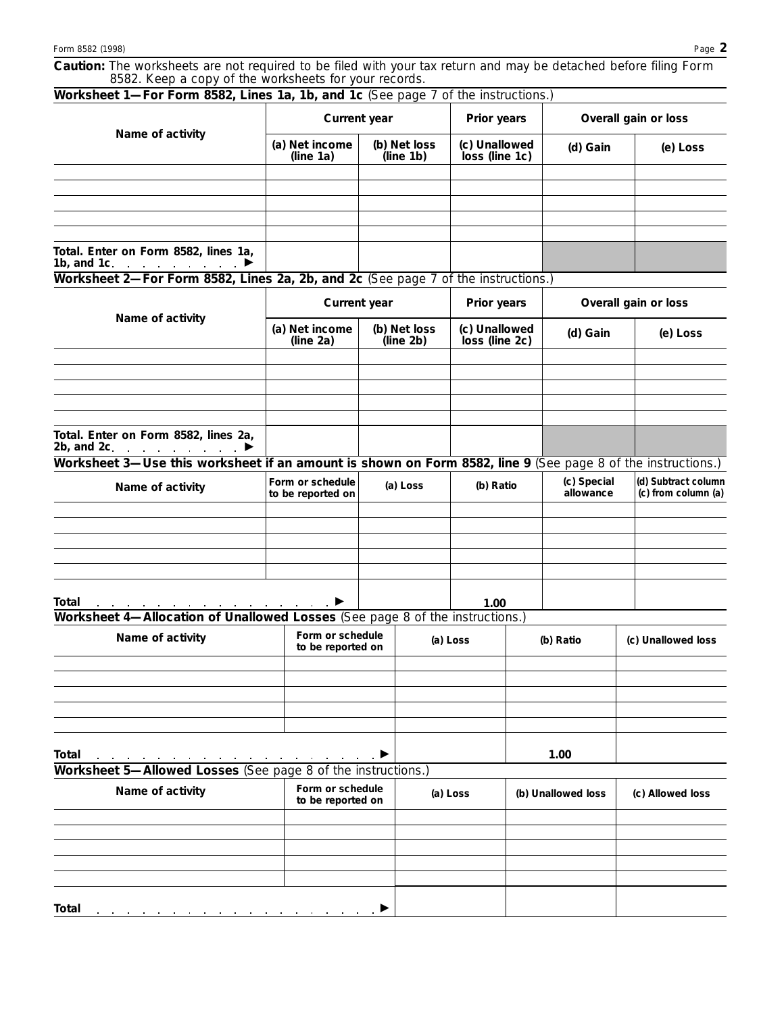| Caution: The worksheets are not required to be filed with your tax return and may be detached before filing Form |  |
|------------------------------------------------------------------------------------------------------------------|--|
| 8582. Keep a copy of the worksheets for your records.                                                            |  |

| Worksheet 1-For Form 8582, Lines 1a, 1b, and 1c (See page 7 of the instructions.)                                 |                                       |                           |  |                                 |  |                          |                                            |  |
|-------------------------------------------------------------------------------------------------------------------|---------------------------------------|---------------------------|--|---------------------------------|--|--------------------------|--------------------------------------------|--|
| Name of activity                                                                                                  | Current year                          |                           |  | Prior years                     |  | Overall gain or loss     |                                            |  |
|                                                                                                                   | (a) Net income<br>(line 1a)           | (b) Net loss<br>(line 1b) |  | (c) Unallowed<br>loss (line 1c) |  | (d) Gain                 | (e) Loss                                   |  |
|                                                                                                                   |                                       |                           |  |                                 |  |                          |                                            |  |
|                                                                                                                   |                                       |                           |  |                                 |  |                          |                                            |  |
|                                                                                                                   |                                       |                           |  |                                 |  |                          |                                            |  |
|                                                                                                                   |                                       |                           |  |                                 |  |                          |                                            |  |
| Total. Enter on Form 8582, lines 1a,<br>1b, and 1c.<br>$\mathcal{A}$ . The contract of the contract $\mathcal{A}$ |                                       |                           |  |                                 |  |                          |                                            |  |
| Worksheet 2-For Form 8582, Lines 2a, 2b, and 2c (See page 7 of the instructions.)                                 |                                       |                           |  |                                 |  |                          |                                            |  |
|                                                                                                                   |                                       | Current year              |  | Prior years                     |  | Overall gain or loss     |                                            |  |
| Name of activity                                                                                                  | (a) Net income<br>(line 2a)           | (b) Net loss<br>(line 2b) |  | (c) Unallowed<br>loss (line 2c) |  | (d) Gain                 | (e) Loss                                   |  |
|                                                                                                                   |                                       |                           |  |                                 |  |                          |                                            |  |
|                                                                                                                   |                                       |                           |  |                                 |  |                          |                                            |  |
|                                                                                                                   |                                       |                           |  |                                 |  |                          |                                            |  |
|                                                                                                                   |                                       |                           |  |                                 |  |                          |                                            |  |
| Total. Enter on Form 8582, lines 2a,<br>2b, and 2c.<br>and a strategic and a strategic                            |                                       |                           |  |                                 |  |                          |                                            |  |
| Worksheet 3-Use this worksheet if an amount is shown on Form 8582, line 9 (See page 8 of the instructions.)       |                                       |                           |  |                                 |  |                          |                                            |  |
| Name of activity                                                                                                  | Form or schedule<br>to be reported on | (a) Loss                  |  | (b) Ratio                       |  | (c) Special<br>allowance | (d) Subtract column<br>(c) from column (a) |  |
|                                                                                                                   |                                       |                           |  |                                 |  |                          |                                            |  |
|                                                                                                                   |                                       |                           |  |                                 |  |                          |                                            |  |
|                                                                                                                   |                                       |                           |  |                                 |  |                          |                                            |  |
|                                                                                                                   |                                       |                           |  |                                 |  |                          |                                            |  |
| Total                                                                                                             |                                       |                           |  | 1.00                            |  |                          |                                            |  |
| Worksheet 4-Allocation of Unallowed Losses (See page 8 of the instructions.)                                      |                                       |                           |  |                                 |  |                          |                                            |  |
| Name of activity                                                                                                  | Form or schedule<br>to be reported on |                           |  | (a) Loss                        |  | (b) Ratio                | (c) Unallowed loss                         |  |
|                                                                                                                   |                                       |                           |  |                                 |  |                          |                                            |  |
|                                                                                                                   |                                       |                           |  |                                 |  |                          |                                            |  |
|                                                                                                                   |                                       |                           |  |                                 |  |                          |                                            |  |
|                                                                                                                   |                                       |                           |  |                                 |  |                          |                                            |  |
| Total                                                                                                             | the company of the company            |                           |  |                                 |  | 1.00                     |                                            |  |
| Worksheet 5-Allowed Losses (See page 8 of the instructions.)                                                      |                                       |                           |  |                                 |  |                          |                                            |  |
| Form or schedule<br>Name of activity<br>to be reported on                                                         |                                       | (a) Loss                  |  |                                 |  | (b) Unallowed loss       | (c) Allowed loss                           |  |
|                                                                                                                   |                                       |                           |  |                                 |  |                          |                                            |  |
|                                                                                                                   |                                       |                           |  |                                 |  |                          |                                            |  |
|                                                                                                                   |                                       |                           |  |                                 |  |                          |                                            |  |
|                                                                                                                   |                                       |                           |  |                                 |  |                          |                                            |  |
| Total                                                                                                             |                                       |                           |  |                                 |  |                          |                                            |  |